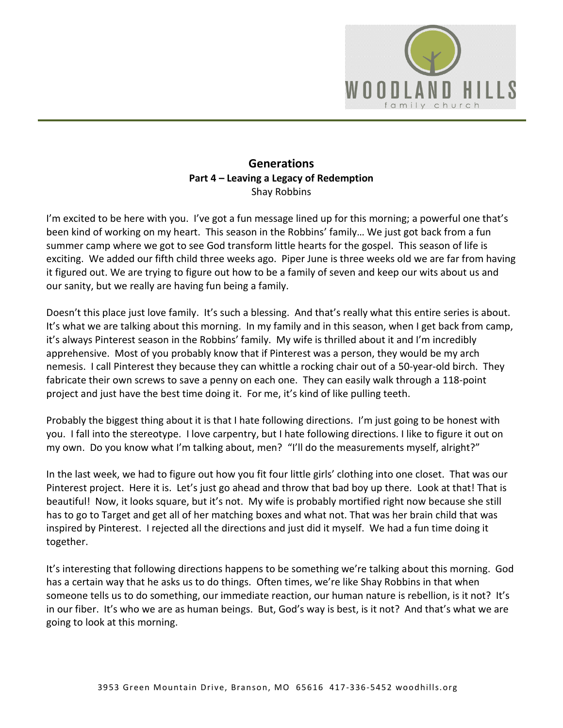

## **Generations Part 4 – Leaving a Legacy of Redemption**  Shay Robbins

I'm excited to be here with you. I've got a fun message lined up for this morning; a powerful one that's been kind of working on my heart. This season in the Robbins' family… We just got back from a fun summer camp where we got to see God transform little hearts for the gospel. This season of life is exciting. We added our fifth child three weeks ago. Piper June is three weeks old we are far from having it figured out. We are trying to figure out how to be a family of seven and keep our wits about us and our sanity, but we really are having fun being a family.

Doesn't this place just love family. It's such a blessing. And that's really what this entire series is about. It's what we are talking about this morning. In my family and in this season, when I get back from camp, it's always Pinterest season in the Robbins' family. My wife is thrilled about it and I'm incredibly apprehensive. Most of you probably know that if Pinterest was a person, they would be my arch nemesis. I call Pinterest they because they can whittle a rocking chair out of a 50-year-old birch. They fabricate their own screws to save a penny on each one. They can easily walk through a 118-point project and just have the best time doing it. For me, it's kind of like pulling teeth.

Probably the biggest thing about it is that I hate following directions. I'm just going to be honest with you. I fall into the stereotype. I love carpentry, but I hate following directions. I like to figure it out on my own. Do you know what I'm talking about, men? "I'll do the measurements myself, alright?"

In the last week, we had to figure out how you fit four little girls' clothing into one closet. That was our Pinterest project. Here it is. Let's just go ahead and throw that bad boy up there. Look at that! That is beautiful! Now, it looks square, but it's not. My wife is probably mortified right now because she still has to go to Target and get all of her matching boxes and what not. That was her brain child that was inspired by Pinterest. I rejected all the directions and just did it myself. We had a fun time doing it together.

It's interesting that following directions happens to be something we're talking about this morning. God has a certain way that he asks us to do things. Often times, we're like Shay Robbins in that when someone tells us to do something, our immediate reaction, our human nature is rebellion, is it not? It's in our fiber. It's who we are as human beings. But, God's way is best, is it not? And that's what we are going to look at this morning.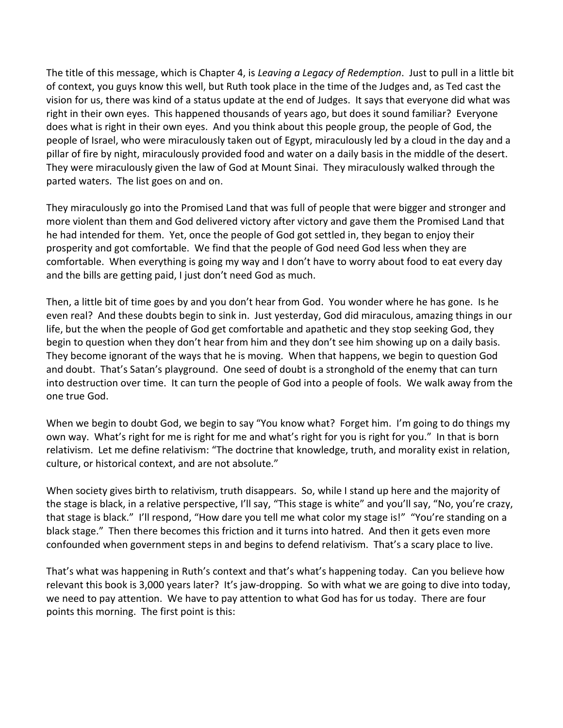The title of this message, which is Chapter 4, is *Leaving a Legacy of Redemption*. Just to pull in a little bit of context, you guys know this well, but Ruth took place in the time of the Judges and, as Ted cast the vision for us, there was kind of a status update at the end of Judges. It says that everyone did what was right in their own eyes. This happened thousands of years ago, but does it sound familiar? Everyone does what is right in their own eyes. And you think about this people group, the people of God, the people of Israel, who were miraculously taken out of Egypt, miraculously led by a cloud in the day and a pillar of fire by night, miraculously provided food and water on a daily basis in the middle of the desert. They were miraculously given the law of God at Mount Sinai. They miraculously walked through the parted waters. The list goes on and on.

They miraculously go into the Promised Land that was full of people that were bigger and stronger and more violent than them and God delivered victory after victory and gave them the Promised Land that he had intended for them. Yet, once the people of God got settled in, they began to enjoy their prosperity and got comfortable. We find that the people of God need God less when they are comfortable. When everything is going my way and I don't have to worry about food to eat every day and the bills are getting paid, I just don't need God as much.

Then, a little bit of time goes by and you don't hear from God. You wonder where he has gone. Is he even real? And these doubts begin to sink in. Just yesterday, God did miraculous, amazing things in our life, but the when the people of God get comfortable and apathetic and they stop seeking God, they begin to question when they don't hear from him and they don't see him showing up on a daily basis. They become ignorant of the ways that he is moving. When that happens, we begin to question God and doubt. That's Satan's playground. One seed of doubt is a stronghold of the enemy that can turn into destruction over time. It can turn the people of God into a people of fools. We walk away from the one true God.

When we begin to doubt God, we begin to say "You know what? Forget him. I'm going to do things my own way. What's right for me is right for me and what's right for you is right for you." In that is born relativism. Let me define relativism: "The doctrine that knowledge, truth, and morality exist in relation, culture, or historical context, and are not absolute."

When society gives birth to relativism, truth disappears. So, while I stand up here and the majority of the stage is black, in a relative perspective, I'll say, "This stage is white" and you'll say, "No, you're crazy, that stage is black." I'll respond, "How dare you tell me what color my stage is!" "You're standing on a black stage." Then there becomes this friction and it turns into hatred. And then it gets even more confounded when government steps in and begins to defend relativism. That's a scary place to live.

That's what was happening in Ruth's context and that's what's happening today. Can you believe how relevant this book is 3,000 years later? It's jaw-dropping. So with what we are going to dive into today, we need to pay attention. We have to pay attention to what God has for us today. There are four points this morning. The first point is this: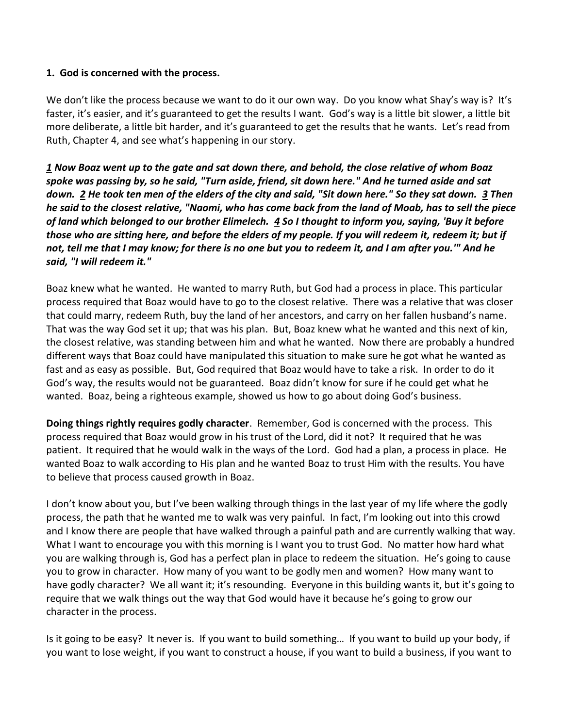#### **1. God is concerned with the process.**

We don't like the process because we want to do it our own way. Do you know what Shay's way is? It's faster, it's easier, and it's guaranteed to get the results I want. God's way is a little bit slower, a little bit more deliberate, a little bit harder, and it's guaranteed to get the results that he wants. Let's read from Ruth, Chapter 4, and see what's happening in our story.

*[1](http://www.studylight.org/desk/?q=ru%204:1&t1=en_nas&sr=1) Now Boaz went up to the gate and sat down there, and behold, the close relative of whom Boaz spoke was passing by, so he said, "Turn aside, friend, sit down here." And he turned aside and sat down. [2](http://www.studylight.org/desk/?q=ru%204:2&t1=en_nas&sr=1) He took ten men of the elders of the city and said, "Sit down here." So they sat down. [3](http://www.studylight.org/desk/?q=ru%204:3&t1=en_nas&sr=1) Then he said to the closest relative, "Naomi, who has come back from the land of Moab, has to sell the piece of land which belonged to our brother Elimelech. [4](http://www.studylight.org/desk/?q=ru%204:4&t1=en_nas&sr=1) So I thought to inform you, saying, 'Buy it before those who are sitting here, and before the elders of my people. If you will redeem it, redeem it; but if not, tell me that I may know; for there is no one but you to redeem it, and I am after you.'" And he said, "I will redeem it."* 

Boaz knew what he wanted. He wanted to marry Ruth, but God had a process in place. This particular process required that Boaz would have to go to the closest relative. There was a relative that was closer that could marry, redeem Ruth, buy the land of her ancestors, and carry on her fallen husband's name. That was the way God set it up; that was his plan. But, Boaz knew what he wanted and this next of kin, the closest relative, was standing between him and what he wanted. Now there are probably a hundred different ways that Boaz could have manipulated this situation to make sure he got what he wanted as fast and as easy as possible. But, God required that Boaz would have to take a risk. In order to do it God's way, the results would not be guaranteed. Boaz didn't know for sure if he could get what he wanted. Boaz, being a righteous example, showed us how to go about doing God's business.

**Doing things rightly requires godly character**. Remember, God is concerned with the process. This process required that Boaz would grow in his trust of the Lord, did it not? It required that he was patient. It required that he would walk in the ways of the Lord. God had a plan, a process in place. He wanted Boaz to walk according to His plan and he wanted Boaz to trust Him with the results. You have to believe that process caused growth in Boaz.

I don't know about you, but I've been walking through things in the last year of my life where the godly process, the path that he wanted me to walk was very painful. In fact, I'm looking out into this crowd and I know there are people that have walked through a painful path and are currently walking that way. What I want to encourage you with this morning is I want you to trust God. No matter how hard what you are walking through is, God has a perfect plan in place to redeem the situation. He's going to cause you to grow in character. How many of you want to be godly men and women? How many want to have godly character? We all want it; it's resounding. Everyone in this building wants it, but it's going to require that we walk things out the way that God would have it because he's going to grow our character in the process.

Is it going to be easy? It never is. If you want to build something… If you want to build up your body, if you want to lose weight, if you want to construct a house, if you want to build a business, if you want to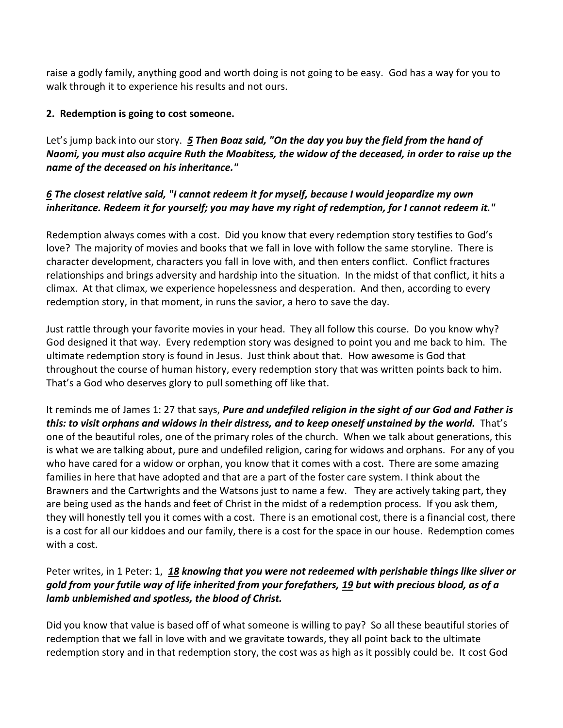raise a godly family, anything good and worth doing is not going to be easy. God has a way for you to walk through it to experience his results and not ours.

### **2. Redemption is going to cost someone.**

Let's jump back into our story. *[5](http://www.studylight.org/desk/?q=ru%204:5&t1=en_nas&sr=1) Then Boaz said, "On the day you buy the field from the hand of Naomi, you must also acquire Ruth the Moabitess, the widow of the deceased, in order to raise up the name of the deceased on his inheritance."* 

# *[6](http://www.studylight.org/desk/?q=ru%204:6&t1=en_nas&sr=1) The closest relative said, "I cannot redeem it for myself, because I would jeopardize my own inheritance. Redeem it for yourself; you may have my right of redemption, for I cannot redeem it."*

Redemption always comes with a cost. Did you know that every redemption story testifies to God's love? The majority of movies and books that we fall in love with follow the same storyline. There is character development, characters you fall in love with, and then enters conflict. Conflict fractures relationships and brings adversity and hardship into the situation. In the midst of that conflict, it hits a climax. At that climax, we experience hopelessness and desperation. And then, according to every redemption story, in that moment, in runs the savior, a hero to save the day.

Just rattle through your favorite movies in your head. They all follow this course. Do you know why? God designed it that way. Every redemption story was designed to point you and me back to him. The ultimate redemption story is found in Jesus. Just think about that. How awesome is God that throughout the course of human history, every redemption story that was written points back to him. That's a God who deserves glory to pull something off like that.

It reminds me of James 1: 27 that says, *Pure and undefiled religion in the sight of our God and Father is this: to visit orphans and widows in their distress, and to keep oneself unstained by the world.* That's one of the beautiful roles, one of the primary roles of the church. When we talk about generations, this is what we are talking about, pure and undefiled religion, caring for widows and orphans. For any of you who have cared for a widow or orphan, you know that it comes with a cost. There are some amazing families in here that have adopted and that are a part of the foster care system. I think about the Brawners and the Cartwrights and the Watsons just to name a few. They are actively taking part, they are being used as the hands and feet of Christ in the midst of a redemption process. If you ask them, they will honestly tell you it comes with a cost. There is an emotional cost, there is a financial cost, there is a cost for all our kiddoes and our family, there is a cost for the space in our house. Redemption comes with a cost.

# Peter writes, in 1 Peter: 1, *[18](http://www.studylight.org/desk/?q=1pe%201:18&t1=en_nas&sr=1) knowing that you were not redeemed with perishable things like silver or gold from your futile way of life inherited from your forefathers, [19](http://www.studylight.org/desk/?q=1pe%201:19&t1=en_nas&sr=1) but with precious blood, as of a lamb unblemished and spotless, the blood of Christ.*

Did you know that value is based off of what someone is willing to pay? So all these beautiful stories of redemption that we fall in love with and we gravitate towards, they all point back to the ultimate redemption story and in that redemption story, the cost was as high as it possibly could be. It cost God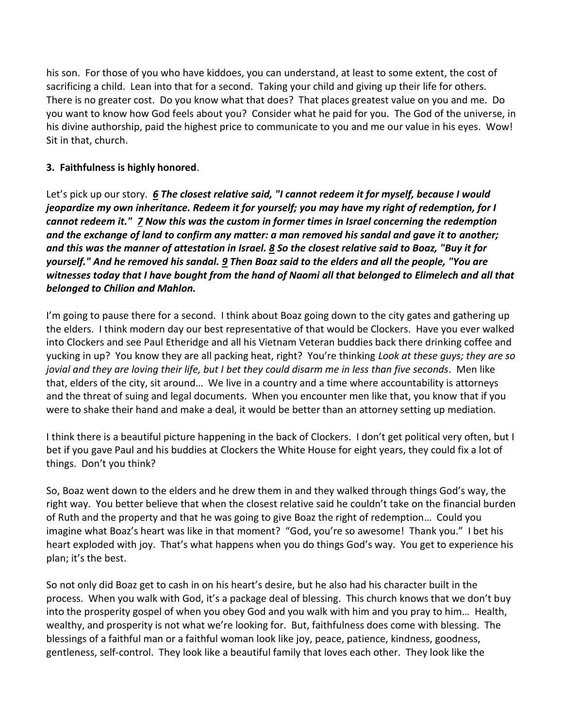his son. For those of you who have kiddoes, you can understand, at least to some extent, the cost of sacrificing a child. Lean into that for a second. Taking your child and giving up their life for others. There is no greater cost. Do you know what that does? That places greatest value on you and me. Do you want to know how God feels about you? Consider what he paid for you. The God of the universe, in his divine authorship, paid the highest price to communicate to you and me our value in his eyes. Wow! Sit in that, church.

# **3. Faithfulness is highly honored**.

Let's pick up our story. *[6](http://www.studylight.org/desk/?q=ru%204:6&t1=en_nas&sr=1) The closest relative said, "I cannot redeem it for myself, because I would jeopardize my own inheritance. Redeem it for yourself; you may have my right of redemption, for I cannot redeem it." [7](http://www.studylight.org/desk/?q=ru%204:7&t1=en_nas&sr=1) Now this was the custom in former times in Israel concerning the redemption and the exchange of land to confirm any matter: a man removed his sandal and gave it to another; and this was the manner of attestation in Israel. [8](http://www.studylight.org/desk/?q=ru%204:8&t1=en_nas&sr=1) So the closest relative said to Boaz, "Buy it for yourself." And he removed his sandal. [9](http://www.studylight.org/desk/?q=ru%204:9&t1=en_nas&sr=1) Then Boaz said to the elders and all the people, "You are witnesses today that I have bought from the hand of Naomi all that belonged to Elimelech and all that belonged to Chilion and Mahlon.*

I'm going to pause there for a second. I think about Boaz going down to the city gates and gathering up the elders. I think modern day our best representative of that would be Clockers. Have you ever walked into Clockers and see Paul Etheridge and all his Vietnam Veteran buddies back there drinking coffee and yucking in up? You know they are all packing heat, right? You're thinking *Look at these guys; they are so jovial and they are loving their life, but I bet they could disarm me in less than five seconds*. Men like that, elders of the city, sit around… We live in a country and a time where accountability is attorneys and the threat of suing and legal documents. When you encounter men like that, you know that if you were to shake their hand and make a deal, it would be better than an attorney setting up mediation.

I think there is a beautiful picture happening in the back of Clockers. I don't get political very often, but I bet if you gave Paul and his buddies at Clockers the White House for eight years, they could fix a lot of things. Don't you think?

So, Boaz went down to the elders and he drew them in and they walked through things God's way, the right way. You better believe that when the closest relative said he couldn't take on the financial burden of Ruth and the property and that he was going to give Boaz the right of redemption… Could you imagine what Boaz's heart was like in that moment? "God, you're so awesome! Thank you." I bet his heart exploded with joy. That's what happens when you do things God's way. You get to experience his plan; it's the best.

So not only did Boaz get to cash in on his heart's desire, but he also had his character built in the process. When you walk with God, it's a package deal of blessing. This church knows that we don't buy into the prosperity gospel of when you obey God and you walk with him and you pray to him… Health, wealthy, and prosperity is not what we're looking for. But, faithfulness does come with blessing. The blessings of a faithful man or a faithful woman look like joy, peace, patience, kindness, goodness, gentleness, self-control. They look like a beautiful family that loves each other. They look like the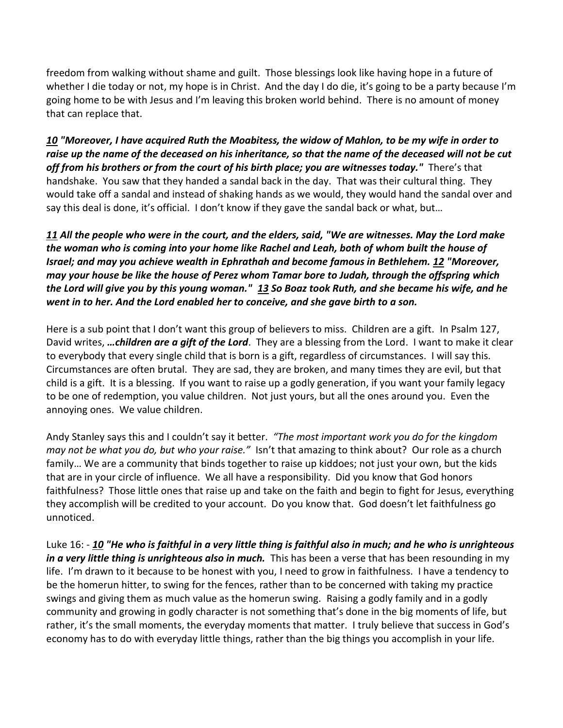freedom from walking without shame and guilt. Those blessings look like having hope in a future of whether I die today or not, my hope is in Christ. And the day I do die, it's going to be a party because I'm going home to be with Jesus and I'm leaving this broken world behind. There is no amount of money that can replace that.

*[10](http://www.studylight.org/desk/?q=ru%204:10&t1=en_nas&sr=1) "Moreover, I have acquired Ruth the Moabitess, the widow of Mahlon, to be my wife in order to raise up the name of the deceased on his inheritance, so that the name of the deceased will not be cut*  off from his brothers or from the court of his birth place; you are witnesses today." There's that handshake. You saw that they handed a sandal back in the day. That was their cultural thing. They would take off a sandal and instead of shaking hands as we would, they would hand the sandal over and say this deal is done, it's official. I don't know if they gave the sandal back or what, but…

# *[11](http://www.studylight.org/desk/?q=ru%204:11&t1=en_nas&sr=1) All the people who were in the court, and the elders, said, "We are witnesses. May the Lord make the woman who is coming into your home like Rachel and Leah, both of whom built the house of Israel; and may you achieve wealth in Ephrathah and become famous in Bethlehem. [12](http://www.studylight.org/desk/?q=ru%204:12&t1=en_nas&sr=1) "Moreover, may your house be like the house of Perez whom Tamar bore to Judah, through the offspring which the Lord will give you by this young woman." [13](http://www.studylight.org/desk/?q=ru%204:13&t1=en_nas&sr=1) So Boaz took Ruth, and she became his wife, and he went in to her. And the Lord enabled her to conceive, and she gave birth to a son.*

Here is a sub point that I don't want this group of believers to miss. Children are a gift. In Psalm 127, David writes, *…children are a gift of the Lord*. They are a blessing from the Lord. I want to make it clear to everybody that every single child that is born is a gift, regardless of circumstances. I will say this. Circumstances are often brutal. They are sad, they are broken, and many times they are evil, but that child is a gift. It is a blessing. If you want to raise up a godly generation, if you want your family legacy to be one of redemption, you value children. Not just yours, but all the ones around you. Even the annoying ones. We value children.

Andy Stanley says this and I couldn't say it better. *"The most important work you do for the kingdom may not be what you do, but who your raise."* Isn't that amazing to think about? Our role as a church family… We are a community that binds together to raise up kiddoes; not just your own, but the kids that are in your circle of influence. We all have a responsibility. Did you know that God honors faithfulness? Those little ones that raise up and take on the faith and begin to fight for Jesus, everything they accomplish will be credited to your account. Do you know that. God doesn't let faithfulness go unnoticed.

Luke 16: - *[10](http://www.studylight.org/desk/?q=lu%2016:10&t1=en_nas&sr=1) "He who is faithful in a very little thing is faithful also in much; and he who is unrighteous in a very little thing is unrighteous also in much.* This has been a verse that has been resounding in my life. I'm drawn to it because to be honest with you, I need to grow in faithfulness. I have a tendency to be the homerun hitter, to swing for the fences, rather than to be concerned with taking my practice swings and giving them as much value as the homerun swing. Raising a godly family and in a godly community and growing in godly character is not something that's done in the big moments of life, but rather, it's the small moments, the everyday moments that matter. I truly believe that success in God's economy has to do with everyday little things, rather than the big things you accomplish in your life.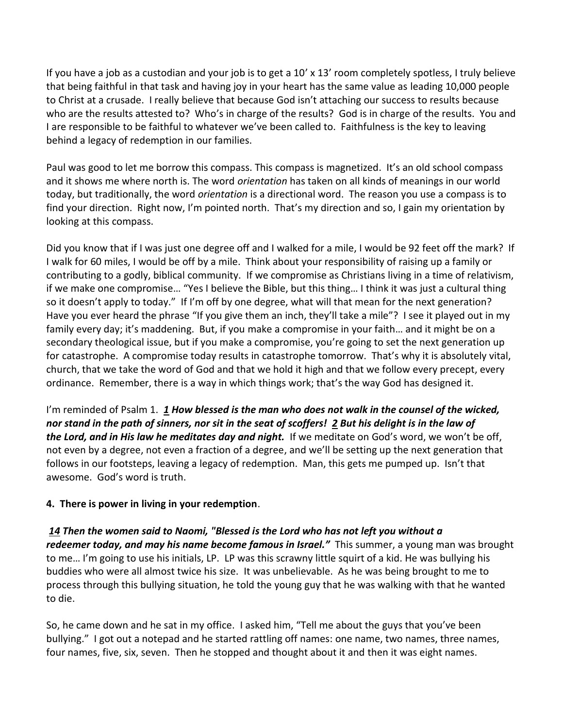If you have a job as a custodian and your job is to get a 10' x 13' room completely spotless, I truly believe that being faithful in that task and having joy in your heart has the same value as leading 10,000 people to Christ at a crusade. I really believe that because God isn't attaching our success to results because who are the results attested to? Who's in charge of the results? God is in charge of the results. You and I are responsible to be faithful to whatever we've been called to. Faithfulness is the key to leaving behind a legacy of redemption in our families.

Paul was good to let me borrow this compass. This compass is magnetized. It's an old school compass and it shows me where north is. The word *orientation* has taken on all kinds of meanings in our world today, but traditionally, the word *orientation* is a directional word. The reason you use a compass is to find your direction. Right now, I'm pointed north. That's my direction and so, I gain my orientation by looking at this compass.

Did you know that if I was just one degree off and I walked for a mile, I would be 92 feet off the mark? If I walk for 60 miles, I would be off by a mile. Think about your responsibility of raising up a family or contributing to a godly, biblical community. If we compromise as Christians living in a time of relativism, if we make one compromise… "Yes I believe the Bible, but this thing… I think it was just a cultural thing so it doesn't apply to today." If I'm off by one degree, what will that mean for the next generation? Have you ever heard the phrase "If you give them an inch, they'll take a mile"? I see it played out in my family every day; it's maddening. But, if you make a compromise in your faith… and it might be on a secondary theological issue, but if you make a compromise, you're going to set the next generation up for catastrophe. A compromise today results in catastrophe tomorrow. That's why it is absolutely vital, church, that we take the word of God and that we hold it high and that we follow every precept, every ordinance. Remember, there is a way in which things work; that's the way God has designed it.

I'm reminded of Psalm 1. *[1](http://www.studylight.org/desk/?q=ps%201:1&t1=en_nas&sr=1) How blessed is the man who does not walk in the counsel of the wicked, nor stand in the path of sinners, nor sit in the seat of scoffers! [2](http://www.studylight.org/desk/?q=ps%201:2&t1=en_nas&sr=1) But his delight is in the law of the Lord, and in His law he meditates day and night.* If we meditate on God's word, we won't be off, not even by a degree, not even a fraction of a degree, and we'll be setting up the next generation that follows in our footsteps, leaving a legacy of redemption. Man, this gets me pumped up. Isn't that awesome. God's word is truth.

# **4. There is power in living in your redemption**.

*[14](http://www.studylight.org/desk/?q=ru%204:14&t1=en_nas&sr=1) Then the women said to Naomi, "Blessed is the Lord who has not left you without a redeemer today, and may his name become famous in Israel."* This summer, a young man was brought to me… I'm going to use his initials, LP. LP was this scrawny little squirt of a kid. He was bullying his buddies who were all almost twice his size. It was unbelievable. As he was being brought to me to process through this bullying situation, he told the young guy that he was walking with that he wanted to die.

So, he came down and he sat in my office. I asked him, "Tell me about the guys that you've been bullying." I got out a notepad and he started rattling off names: one name, two names, three names, four names, five, six, seven. Then he stopped and thought about it and then it was eight names.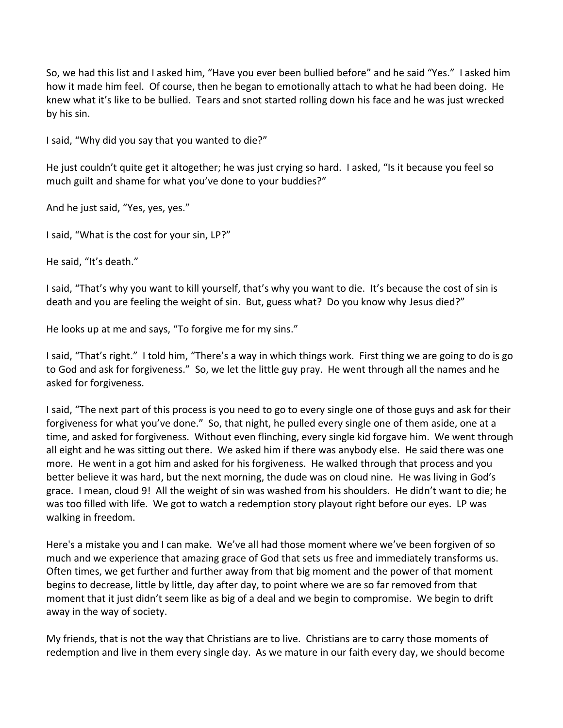So, we had this list and I asked him, "Have you ever been bullied before" and he said "Yes." I asked him how it made him feel. Of course, then he began to emotionally attach to what he had been doing. He knew what it's like to be bullied. Tears and snot started rolling down his face and he was just wrecked by his sin.

I said, "Why did you say that you wanted to die?"

He just couldn't quite get it altogether; he was just crying so hard. I asked, "Is it because you feel so much guilt and shame for what you've done to your buddies?"

And he just said, "Yes, yes, yes."

I said, "What is the cost for your sin, LP?"

He said, "It's death."

I said, "That's why you want to kill yourself, that's why you want to die. It's because the cost of sin is death and you are feeling the weight of sin. But, guess what? Do you know why Jesus died?"

He looks up at me and says, "To forgive me for my sins."

I said, "That's right." I told him, "There's a way in which things work. First thing we are going to do is go to God and ask for forgiveness." So, we let the little guy pray. He went through all the names and he asked for forgiveness.

I said, "The next part of this process is you need to go to every single one of those guys and ask for their forgiveness for what you've done." So, that night, he pulled every single one of them aside, one at a time, and asked for forgiveness. Without even flinching, every single kid forgave him. We went through all eight and he was sitting out there. We asked him if there was anybody else. He said there was one more. He went in a got him and asked for his forgiveness. He walked through that process and you better believe it was hard, but the next morning, the dude was on cloud nine. He was living in God's grace. I mean, cloud 9! All the weight of sin was washed from his shoulders. He didn't want to die; he was too filled with life. We got to watch a redemption story playout right before our eyes. LP was walking in freedom.

Here's a mistake you and I can make. We've all had those moment where we've been forgiven of so much and we experience that amazing grace of God that sets us free and immediately transforms us. Often times, we get further and further away from that big moment and the power of that moment begins to decrease, little by little, day after day, to point where we are so far removed from that moment that it just didn't seem like as big of a deal and we begin to compromise. We begin to drift away in the way of society.

My friends, that is not the way that Christians are to live. Christians are to carry those moments of redemption and live in them every single day. As we mature in our faith every day, we should become